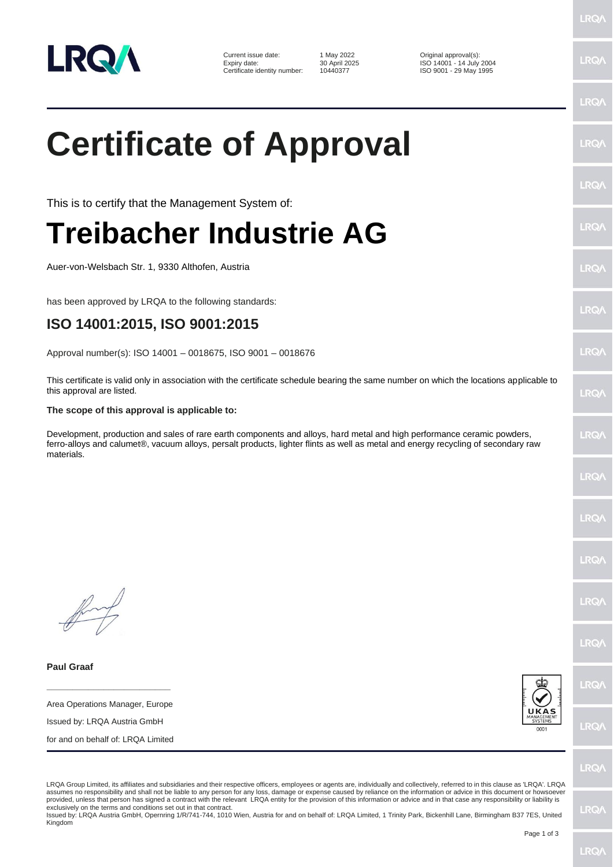

Current issue date: 1 May 2022 <br>
Expiry date: 30 April 2025 <br>
1 SO 14001 - 14 July Expiry date: 30 April 2025<br>
Certificate identity number: 10440377 ISO 9001 - 29 May 1995

ISO 9001 - 29 May 1995

## **Certificate of Approval**

This is to certify that the Management System of:

## **Treibacher Industrie AG**

Auer-von-Welsbach Str. 1, 9330 Althofen, Austria

has been approved by LRQA to the following standards:

## **ISO 14001:2015, ISO 9001:2015**

Approval number(s): ISO 14001 – 0018675, ISO 9001 – 0018676

This certificate is valid only in association with the certificate schedule bearing the same number on which the locations applicable to this approval are listed.

## **The scope of this approval is applicable to:**

Development, production and sales of rare earth components and alloys, hard metal and high performance ceramic powders, ferro-alloys and calumet®, vacuum alloys, persalt products, lighter flints as well as metal and energy recycling of secondary raw materials.

**Paul Graaf**

**\_\_\_\_\_\_\_\_\_\_\_\_\_\_\_\_\_\_\_\_\_\_\_\_** Area Operations Manager, Europe

Issued by: LRQA Austria GmbH

for and on behalf of: LRQA Limited



LRQ/

LRQA Group Limited, its affiliates and subsidiaries and their respective officers, employees or agents are, individually and collectively, referred to in this clause as 'LRQA'. LRQA assumes no responsibility and shall not be liable to any person for any loss, damage or expense caused by reliance on the information or advice in this document or howsoever provided, unless that person has signed a contract with the relevant LRQA entity for the provision of this information or advice and in that case any responsibility or liability is exclusively on the terms and conditions set out in that contract.

Issued by: LRQA Austria GmbH, Opernring 1/R/741-744, 1010 Wien, Austria for and on behalf of: LRQA Limited, 1 Trinity Park, Bickenhill Lane, Birmingham B37 7ES, United Kingdom

LRQ/

**LRQ/** 

LRQ/

**LRO/** 

**LRQ** 

LRQ/

LRQ/

**LRQ/** 

LRQ/

LRQ/

LRQ/

LRQ/

LRQ/

LRQ/

LRQ/

LRQ/

LRQ/

LRQ/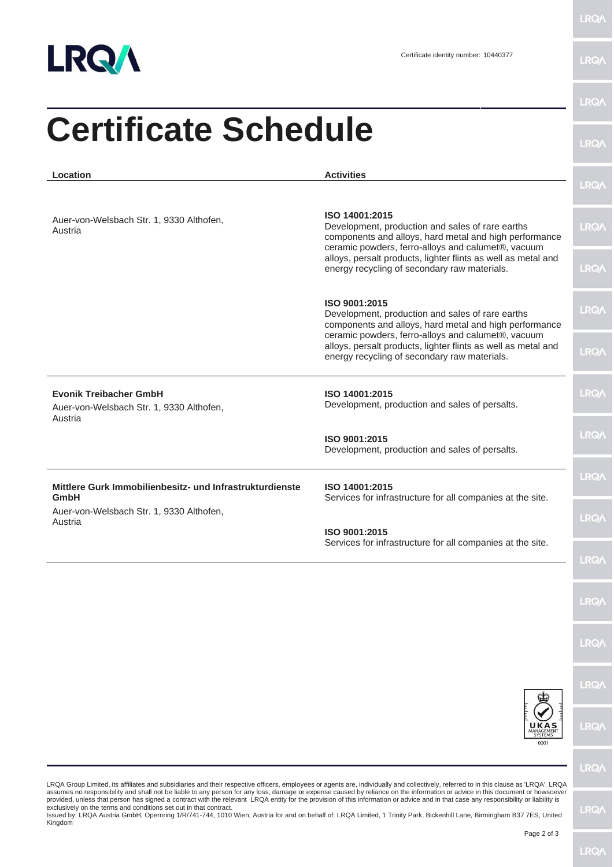

**LRQA** 

**LRQ/\** 

| <b>Certificate Schedule</b>                                                                                             |                                                                                                                                                                                    | LRQ/        |
|-------------------------------------------------------------------------------------------------------------------------|------------------------------------------------------------------------------------------------------------------------------------------------------------------------------------|-------------|
| Location                                                                                                                | <b>Activities</b>                                                                                                                                                                  | <b>LRQA</b> |
| Auer-von-Welsbach Str. 1, 9330 Althofen,<br>Austria                                                                     | ISO 14001:2015<br>Development, production and sales of rare earths<br>components and alloys, hard metal and high performance<br>ceramic powders, ferro-alloys and calumet®, vacuum | <b>LRQA</b> |
|                                                                                                                         | alloys, persalt products, lighter flints as well as metal and<br>energy recycling of secondary raw materials.                                                                      | <b>LRQA</b> |
|                                                                                                                         | ISO 9001:2015<br>Development, production and sales of rare earths<br>components and alloys, hard metal and high performance                                                        | <b>LRQA</b> |
|                                                                                                                         | ceramic powders, ferro-alloys and calumet®, vacuum<br>alloys, persalt products, lighter flints as well as metal and<br>energy recycling of secondary raw materials.                | LRQ/        |
| <b>Evonik Treibacher GmbH</b><br>Auer-von-Welsbach Str. 1, 9330 Althofen,<br>Austria                                    | ISO 14001:2015<br>Development, production and sales of persalts.                                                                                                                   | <b>LRQA</b> |
|                                                                                                                         | ISO 9001:2015<br>Development, production and sales of persalts.                                                                                                                    | <b>LRQA</b> |
| Mittlere Gurk Immobilienbesitz- und Infrastrukturdienste<br>GmbH<br>Auer-von-Welsbach Str. 1, 9330 Althofen,<br>Austria | ISO 14001:2015<br>Services for infrastructure for all companies at the site.                                                                                                       | <b>LRQA</b> |
|                                                                                                                         | ISO 9001:2015                                                                                                                                                                      | <b>LRQA</b> |
|                                                                                                                         | Services for infrastructure for all companies at the site.                                                                                                                         | LRQ/        |
|                                                                                                                         |                                                                                                                                                                                    | <b>LRQ/</b> |
|                                                                                                                         |                                                                                                                                                                                    | LRQ/        |
|                                                                                                                         |                                                                                                                                                                                    | <b>LRQA</b> |
|                                                                                                                         | 0001                                                                                                                                                                               | <b>LRQA</b> |
|                                                                                                                         |                                                                                                                                                                                    | <b>LRQA</b> |

LRQA Group Limited, its affiliates and subsidiaries and their respective officers, employees or agents are, individually and collectively, referred to in this clause as 'LRQA'. LRQA<br>provided, unless that person has signed

Kingdom